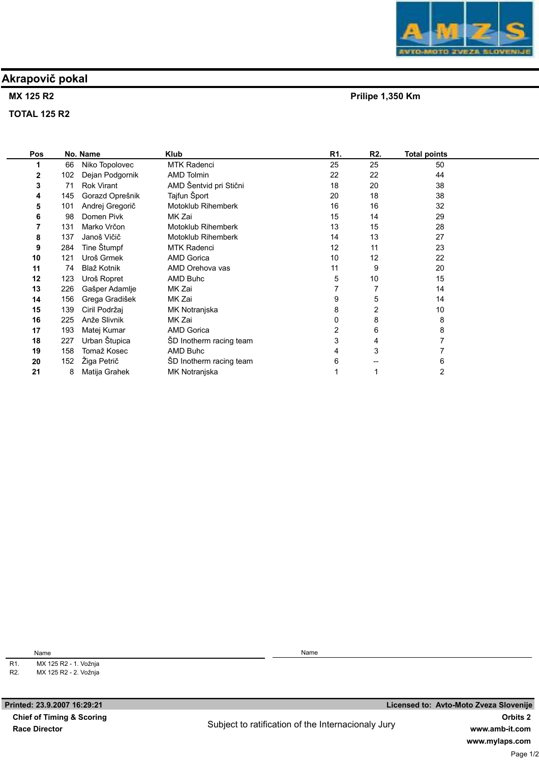# Akrapovič pokal

### MX 125 R2

TOTAL 125 R2

| Pos |          | No. Name        | Klub                    | R1. | R2. | Total points |  |
|-----|----------|-----------------|-------------------------|-----|-----|--------------|--|
|     | 66       | Niko Topolovec  | <b>MTK Radenci</b>      | 25  | 25  | 50           |  |
|     | 2<br>102 | Dejan Podgornik | <b>AMD Tolmin</b>       | 22  | 22  | 44           |  |
|     | 3<br>71  | Rok Virant      | AMD Šentvid pri Stični  | 18  | 20  | 38           |  |
|     | 145<br>4 | Gorazd Oprešnik | Tajfun Šport            | 20  | 18  | 38           |  |
|     | 101<br>5 | Andrej Gregorič | Motoklub Rihemberk      | 16  | 16  | 32           |  |
|     | 6<br>98  | Domen Pivk      | MK Zai                  | 15  | 14  | 29           |  |
|     | 131      | Marko Vrčon     | Motoklub Rihemberk      | 13  | 15  | 28           |  |
|     | 8<br>137 | Janoš Vičič     | Motoklub Rihemberk      | 14  | 13  | 27           |  |
|     | 9<br>284 | Tine Štumpf     | <b>MTK Radenci</b>      | 12  | 11  | 23           |  |
| 10  | 121      | Uroš Grmek      | <b>AMD Gorica</b>       | 10  | 12  | 22           |  |
| 11  | 74       | Blaž Kotnik     | AMD Orehova vas         | 11  | 9   | 20           |  |
| 12  | 123      | Uroš Ropret     | AMD Buhc                | 5   | 10  | 15           |  |
| 13  | 226      | Gašper Adamlje  | MK Zai                  |     |     | 14           |  |
| 14  | 156      | Grega Gradišek  | MK Zai                  | 9   | 5   | 14           |  |
| 15  | 139      | Ciril Podržaj   | MK Notranjska           | 8   | 2   | 10           |  |
| 16  | 225      | Anže Slivnik    | MK Zai                  | 0   | 8   | 8            |  |
| 17  | 193      | Matej Kumar     | <b>AMD Gorica</b>       | 2   | 6   | 8            |  |
| 18  | 227      | Urban Štupica   | ŠD Inotherm racing team | 3   | 4   |              |  |
| 19  | 158      | Tomaž Kosec     | AMD Buhc                | 4   | 3   |              |  |
| 20  | 152      | Žiga Petrič     | ŠD Inotherm racing team | 6   |     | 6            |  |
| 21  | 8        | Matija Grahek   | MK Notranjska           |     |     | 2            |  |
|     |          |                 |                         |     |     |              |  |

Subject to ratification of the Internacionaly Jury



Prilipe 1,350 Km